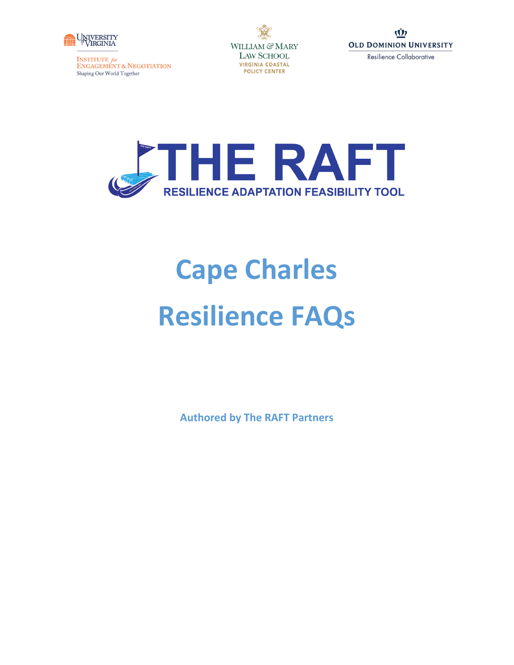

**INSTITUTE for<br>ENGAGEMENT & NEGOTIATION** Shaping Our World Together

WILLIAM & MARY **LAW SCHOOL VIRGINIA COASTAL POLICY CENTER** 





# **Cape Charles Resilience FAQs**

**Authored by The RAFT Partners**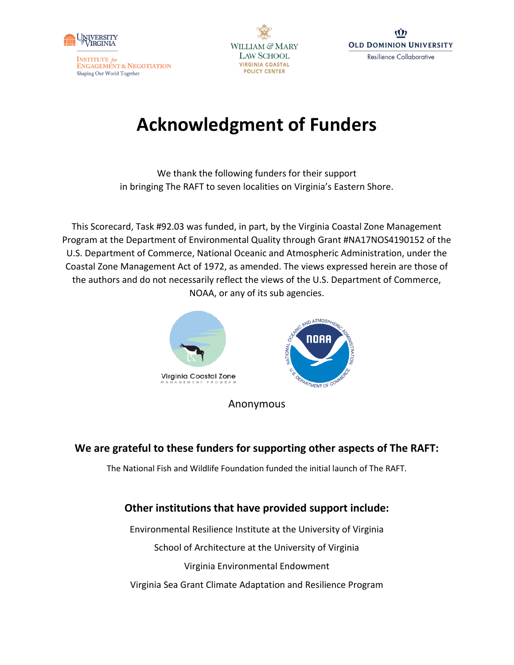

**WILLIAM & MARY LAW SCHOOL VIRGINIA COASTAL POLICY CENTER** 

# **Acknowledgment of Funders**

We thank the following funders for their support in bringing The RAFT to seven localities on Virginia's Eastern Shore.

This Scorecard, Task #92.03 was funded, in part, by the Virginia Coastal Zone Management Program at the Department of Environmental Quality through Grant #NA17NOS4190152 of the U.S. Department of Commerce, National Oceanic and Atmospheric Administration, under the Coastal Zone Management Act of 1972, as amended. The views expressed herein are those of the authors and do not necessarily reflect the views of the U.S. Department of Commerce, NOAA, or any of its sub agencies.



Anonymous

## **We are grateful to these funders for supporting other aspects of The RAFT:**

The National Fish and Wildlife Foundation funded the initial launch of The RAFT.

## **Other institutions that have provided support include:**

Environmental Resilience Institute at the University of Virginia School of Architecture at the University of Virginia Virginia Environmental Endowment Virginia Sea Grant Climate Adaptation and Resilience Program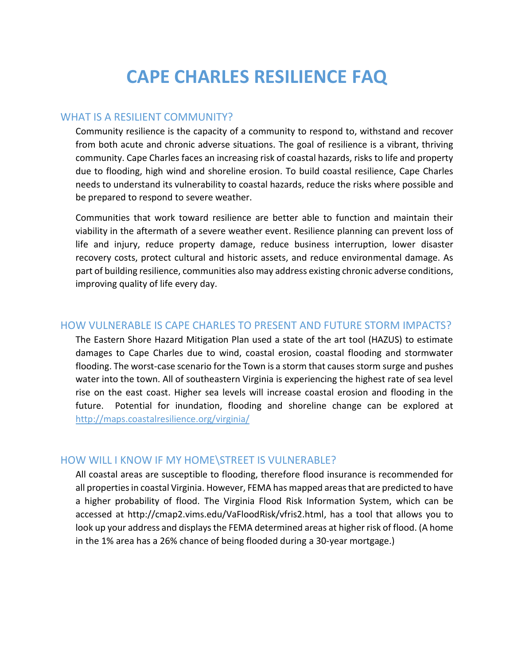# **CAPE CHARLES RESILIENCE FAQ**

#### WHAT IS A RESILIENT COMMUNITY?

Community resilience is the capacity of a community to respond to, withstand and recover from both acute and chronic adverse situations. The goal of resilience is a vibrant, thriving community. Cape Charles faces an increasing risk of coastal hazards, risks to life and property due to flooding, high wind and shoreline erosion. To build coastal resilience, Cape Charles needs to understand its vulnerability to coastal hazards, reduce the risks where possible and be prepared to respond to severe weather.

Communities that work toward resilience are better able to function and maintain their viability in the aftermath of a severe weather event. Resilience planning can prevent loss of life and injury, reduce property damage, reduce business interruption, lower disaster recovery costs, protect cultural and historic assets, and reduce environmental damage. As part of building resilience, communities also may address existing chronic adverse conditions, improving quality of life every day.

### HOW VULNERABLE IS CAPE CHARLES TO PRESENT AND FUTURE STORM IMPACTS?

The Eastern Shore Hazard Mitigation Plan used a state of the art tool (HAZUS) to estimate damages to Cape Charles due to wind, coastal erosion, coastal flooding and stormwater flooding. The worst-case scenario for the Town is a storm that causes storm surge and pushes water into the town. All of southeastern Virginia is experiencing the highest rate of sea level rise on the east coast. Higher sea levels will increase coastal erosion and flooding in the future. Potential for inundation, flooding and shoreline change can be explored at <http://maps.coastalresilience.org/virginia/>

### HOW WILL I KNOW IF MY HOME\STREET IS VULNERABLE?

All coastal areas are susceptible to flooding, therefore flood insurance is recommended for all properties in coastal Virginia. However, FEMA has mapped areas that are predicted to have a higher probability of flood. The Virginia Flood Risk Information System, which can be accessed at http://cmap2.vims.edu/VaFloodRisk/vfris2.html, has a tool that allows you to look up your address and displays the FEMA determined areas at higher risk of flood. (A home in the 1% area has a 26% chance of being flooded during a 30-year mortgage.)